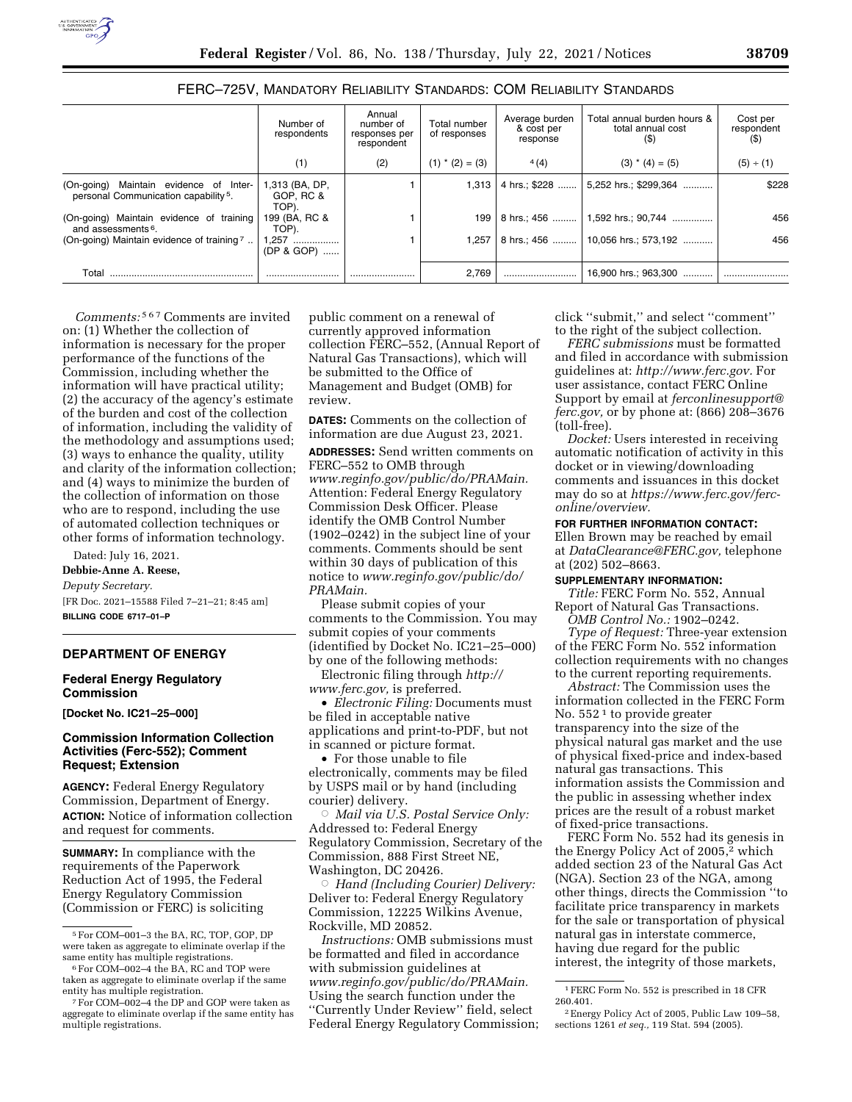### FERC–725V, MANDATORY RELIABILITY STANDARDS: COM RELIABILITY STANDARDS

|                                                                                               | Number of<br>respondents             | Annual<br>number of<br>responses per<br>respondent | Total number<br>of responses | Average burden<br>& cost per<br>response | Total annual burden hours &<br>total annual cost<br>(5) | Cost per<br>respondent<br>(5) |
|-----------------------------------------------------------------------------------------------|--------------------------------------|----------------------------------------------------|------------------------------|------------------------------------------|---------------------------------------------------------|-------------------------------|
|                                                                                               | (1)                                  | (2)                                                | $(1)$ * $(2) = (3)$          | 4(4)                                     | $(3)$ * $(4) = (5)$                                     | (5) ÷ (1)                     |
| Maintain evidence of Inter-<br>(On-going)<br>personal Communication capability <sup>5</sup> . | 1,313 (BA, DP,<br>GOP, RC &<br>TOP). |                                                    | 1.313                        |                                          | 4 hrs.; \$228  5,252 hrs.; \$299,364                    | \$228                         |
| (On-going) Maintain evidence of training<br>and assessments <sup>6</sup> .                    | 199 (BA, RC &<br>TOP).               |                                                    | 199                          |                                          | 8 hrs.; 456    1,592 hrs.; 90,744                       | 456                           |
| (On-going) Maintain evidence of training 7.                                                   | 1,257<br>(DP & GOP)                  |                                                    | 1.257                        |                                          | 8 hrs.; 456    10,056 hrs.; 573,192                     | 456                           |
| Total                                                                                         |                                      |                                                    | 2.769                        |                                          | 16,900 hrs.; 963,300                                    |                               |

*Comments:* 567 Comments are invited on: (1) Whether the collection of information is necessary for the proper performance of the functions of the Commission, including whether the information will have practical utility; (2) the accuracy of the agency's estimate of the burden and cost of the collection of information, including the validity of the methodology and assumptions used; (3) ways to enhance the quality, utility and clarity of the information collection; and (4) ways to minimize the burden of the collection of information on those who are to respond, including the use of automated collection techniques or other forms of information technology.

Dated: July 16, 2021. **Debbie-Anne A. Reese,**  *Deputy Secretary.*  [FR Doc. 2021–15588 Filed 7–21–21; 8:45 am] **BILLING CODE 6717–01–P** 

#### **DEPARTMENT OF ENERGY**

## **Federal Energy Regulatory Commission**

**[Docket No. IC21–25–000]** 

## **Commission Information Collection Activities (Ferc-552); Comment Request; Extension**

**AGENCY:** Federal Energy Regulatory Commission, Department of Energy. **ACTION:** Notice of information collection and request for comments.

**SUMMARY:** In compliance with the requirements of the Paperwork Reduction Act of 1995, the Federal Energy Regulatory Commission (Commission or FERC) is soliciting

public comment on a renewal of currently approved information collection FERC–552, (Annual Report of Natural Gas Transactions), which will be submitted to the Office of Management and Budget (OMB) for review.

**DATES:** Comments on the collection of information are due August 23, 2021.

**ADDRESSES:** Send written comments on FERC–552 to OMB through *[www.reginfo.gov/public/do/PRAMain.](http://www.reginfo.gov/public/do/PRAMain)*  Attention: Federal Energy Regulatory Commission Desk Officer. Please identify the OMB Control Number (1902–0242) in the subject line of your comments. Comments should be sent within 30 days of publication of this notice to *[www.reginfo.gov/public/do/](http://www.reginfo.gov/public/do/PRAMain) [PRAMain.](http://www.reginfo.gov/public/do/PRAMain)* 

Please submit copies of your comments to the Commission. You may submit copies of your comments (identified by Docket No. IC21–25–000) by one of the following methods:

Electronic filing through *[http://](http://www.ferc.gov) [www.ferc.gov,](http://www.ferc.gov)* is preferred.

• *Electronic Filing:* Documents must be filed in acceptable native applications and print-to-PDF, but not in scanned or picture format.

• For those unable to file electronically, comments may be filed by USPS mail or by hand (including courier) delivery.

Æ *Mail via U.S. Postal Service Only:*  Addressed to: Federal Energy Regulatory Commission, Secretary of the Commission, 888 First Street NE, Washington, DC 20426.

Æ *Hand (Including Courier) Delivery:*  Deliver to: Federal Energy Regulatory Commission, 12225 Wilkins Avenue, Rockville, MD 20852.

*Instructions:* OMB submissions must be formatted and filed in accordance with submission guidelines at *[www.reginfo.gov/public/do/PRAMain.](http://www.reginfo.gov/public/do/PRAMain)*  Using the search function under the ''Currently Under Review'' field, select Federal Energy Regulatory Commission; click ''submit,'' and select ''comment'' to the right of the subject collection.

*FERC submissions* must be formatted and filed in accordance with submission guidelines at: *[http://www.ferc.gov.](http://www.ferc.gov)* For user assistance, contact FERC Online Support by email at *[ferconlinesupport@](mailto:ferconlinesupport@ferc.gov) [ferc.gov,](mailto:ferconlinesupport@ferc.gov)* or by phone at: (866) 208–3676 (toll-free).

*Docket:* Users interested in receiving automatic notification of activity in this docket or in viewing/downloading comments and issuances in this docket may do so at *[https://www.ferc.gov/ferc](https://www.ferc.gov/ferc-online/overview)[online/overview.](https://www.ferc.gov/ferc-online/overview)* 

### **FOR FURTHER INFORMATION CONTACT:**

Ellen Brown may be reached by email at *[DataClearance@FERC.gov,](mailto:DataClearance@FERC.gov)* telephone at (202) 502–8663.

## **SUPPLEMENTARY INFORMATION:**

*Title:* FERC Form No. 552, Annual Report of Natural Gas Transactions.

*OMB Control No.:* 1902–0242. *Type of Request:* Three-year extension of the FERC Form No. 552 information collection requirements with no changes to the current reporting requirements.

*Abstract:* The Commission uses the information collected in the FERC Form No. 552<sup>1</sup> to provide greater transparency into the size of the physical natural gas market and the use of physical fixed-price and index-based natural gas transactions. This information assists the Commission and the public in assessing whether index prices are the result of a robust market of fixed-price transactions.

FERC Form No. 552 had its genesis in the Energy Policy Act of 2005,<sup>2</sup> which added section 23 of the Natural Gas Act (NGA). Section 23 of the NGA, among other things, directs the Commission ''to facilitate price transparency in markets for the sale or transportation of physical natural gas in interstate commerce, having due regard for the public interest, the integrity of those markets,

<sup>5</sup>For COM–001–3 the BA, RC, TOP, GOP, DP were taken as aggregate to eliminate overlap if the

<sup>&</sup>lt;sup>6</sup> For COM–002–4 the BA, RC and TOP were taken as aggregate to eliminate overlap if the same entity has multiple registration. 7For COM–002–4 the DP and GOP were taken as

aggregate to eliminate overlap if the same entity has multiple registrations.

<sup>1</sup>FERC Form No. 552 is prescribed in 18 CFR 260.401.

<sup>2</sup>Energy Policy Act of 2005, Public Law 109–58, sections 1261 *et seq.,* 119 Stat. 594 (2005).